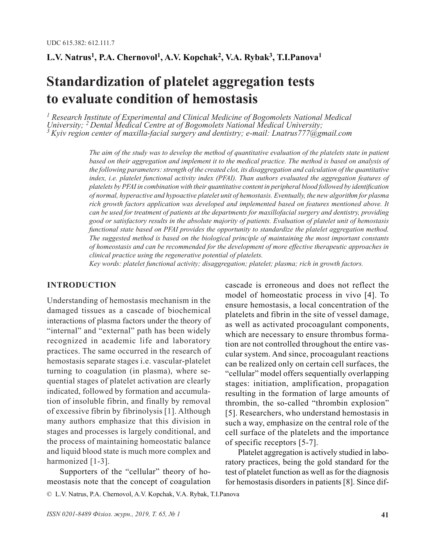# **L.V. Natrus<sup>1</sup>, P.A. Chernovol<sup>1</sup>, A.V. Kopchak<sup>2</sup>, V.A. Rybak<sup>3</sup>, T.I.Panova<sup>1</sup>**

# **Standardization of platelet aggregation tests to evaluate condition of hemostasis**

<sup>1</sup> Research Institute of Experimental and Clinical Medicine of Bogomolets National Medical<br>University; <sup>2</sup> Dental Medical Centre at of Bogomolets National Medical University; *University; 2 Dental Medical Centre at of Bogomolets National Medical University; 3 Kyiv region center of maxilla-facial surgery and dentistry; e-mail: Lnatrus777@gmail.com*

> *The aim of the study was to develop the method of quantitative evaluation of the platelets state in patient based on their aggregation and implement it to the medical practice. The method is based on analysis of the following parameters: strength of the created clot, its disaggregation and calculation of the quantitative index, i.e. platelet functional activity index (PFAI). Than authors evaluated the aggregation features of platelets by PFAI in combination with their quantitative content in peripheral blood followed by identification of normal, hyperactive and hypoactive platelet unit of hemostasis. Eventually, the new algorithm for plasma rich growth factors application was developed and implemented based on features mentioned above. It can be used for treatment of patients at the departments for maxillofacial surgery and dentistry, providing good or satisfactory results in the absolute majority of patients. Evaluation of platelet unit of hemostasis functional state based on PFAI provides the opportunity to standardize the platelet aggregation method. The suggested method is based on the biological principle of maintaining the most important constants of homeostasis and can be recommended for the development of more effective therapeutic approaches in clinical practice using the regenerative potential of platelets.*

*Key words: platelet functional activity; disaggregation; platelet; plasma; rich in growth factors.*

#### **INTRODUCTION**

Understanding of hemostasis mechanism in the damaged tissues as a cascade of biochemical interactions of plasma factors under the theory of "internal" and "external" path has been widely recognized in academic life and laboratory practices. The same occurred in the research of hemostasis separate stages i.e. vascular-platelet turning to coagulation (in plasma), where sequential stages of platelet activation are clearly indicated, followed by formation and accumulation of insoluble fibrin, and finally by removal of excessive fibrin by fibrinolysis [1]. Although many authors emphasize that this division in stages and processes is largely conditional, and the process of maintaining homeostatic balance and liquid blood state is much more complex and harmonized [1-3].

Supporters of the "cellular" theory of homeostasis note that the concept of coagulation cascade is erroneous and does not reflect the model of homeostatic process in vivo [4]. To ensure hemostasis, a local concentration of the platelets and fibrin in the site of vessel damage, as well as activated procoagulant components, which are necessary to ensure thrombus formation are not controlled throughout the entire vascular system. And since, procoagulant reactions can be realized only on certain cell surfaces, the "cellular" model offers sequentially overlapping stages: initiation, amplification, propagation resulting in the formation of large amounts of thrombin, the so-called "thrombin explosion" [5]. Researchers, who understand hemostasis in such a way, emphasize on the central role of the cell surface of the platelets and the importance of specific receptors [5-7].

Platelet aggregation is actively studied in laboratory practices, being the gold standard for the test of platelet function as well as for the diagnosis for hemostasis disorders in patients [8]. Since dif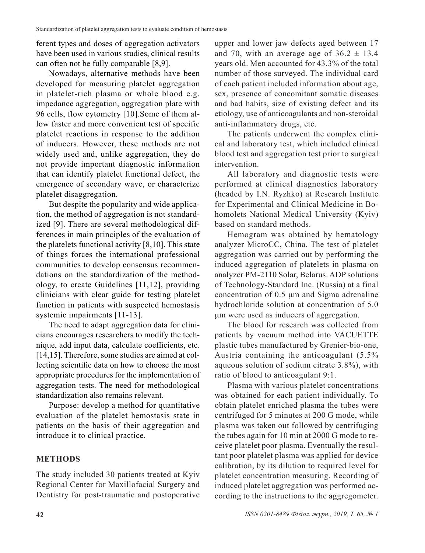ferent types and doses of aggregation activators have been used in various studies, clinical results can often not be fully comparable [8,9].

Nowadays, alternative methods have been developed for measuring platelet aggregation in platelet-rich plasma or whole blood e.g. impedance aggregation, aggregation plate with 96 cells, flow cytometry [10].Some of them allow faster and more convenient test of specific platelet reactions in response to the addition of inducers. However, these methods are not widely used and, unlike aggregation, they do not provide important diagnostic information that can identify platelet functional defect, the emergence of secondary wave, or characterize platelet disaggregation.

But despite the popularity and wide application, the method of aggregation is not standardized [9]. There are several methodological differences in main principles of the evaluation of the platelets functional activity [8,10]. This state of things forces the international professional communities to develop consensus recommendations on the standardization of the methodology, to create Guidelines [11,12], providing clinicians with clear guide for testing platelet function in patients with suspected hemostasis systemic impairments [11-13].

The need to adapt aggregation data for clinicians encourages researchers to modify the technique, add input data, calculate coefficients, etc. [14,15]. Therefore, some studies are aimed at collecting scientific data on how to choose the most appropriate procedures for the implementation of aggregation tests. The need for methodological standardization also remains relevant.

Purpose: develop a method for quantitative evaluation of the platelet hemostasis state in patients on the basis of their aggregation and introduce it to clinical practice.

# **METHODS**

The study included 30 patients treated at Kyiv Regional Center for Maxillofacial Surgery and Dentistry for post-traumatic and postoperative upper and lower jaw defects aged between 17 and 70, with an average age of  $36.2 \pm 13.4$ years old. Men accounted for 43.3% of the total number of those surveyed. The individual card of each patient included information about age, sex, presence of concomitant somatic diseases and bad habits, size of existing defect and its etiology, use of anticoagulants and non-steroidal anti-inflammatory drugs, etc.

The patients underwent the complex clinical and laboratory test, which included clinical blood test and aggregation test prior to surgical intervention.

All laboratory and diagnostic tests were performed at clinical diagnostics laboratory (headed by I.N. Ryzhko) at Research Institute for Experimental and Clinical Medicine in Bohomolets National Medical University (Kyiv) based on standard methods.

Hemogram was obtained by hematology analyzer MicroCC, China. The test of platelet aggregation was carried out by performing the induced aggregation of platelets in plasma on analyzer PM-2110 Solar, Belarus. ADP solutions of Technology-Standard Inc. (Russia) at a final concentration of 0.5 μm and Sigma adrenaline hydrochloride solution at concentration of 5.0 μm were used as inducers of aggregation.

The blood for research was collected from patients by vacuum method into VACUETTE plastic tubes manufactured by Grenier-bio-one, Austria containing the anticoagulant (5.5% aqueous solution of sodium citrate 3.8%), with ratio of blood to anticoagulant 9:1.

Plasma with various platelet concentrations was obtained for each patient individually. To obtain platelet enriched plasma the tubes were centrifuged for 5 minutes at 200 G mode, while plasma was taken out followed by centrifuging the tubes again for 10 min at 2000 G mode to receive platelet poor plasma. Eventually the resultant poor platelet plasma was applied for device calibration, by its dilution to required level for platelet concentration measuring. Recording of induced platelet aggregation was performed according to the instructions to the aggregometer.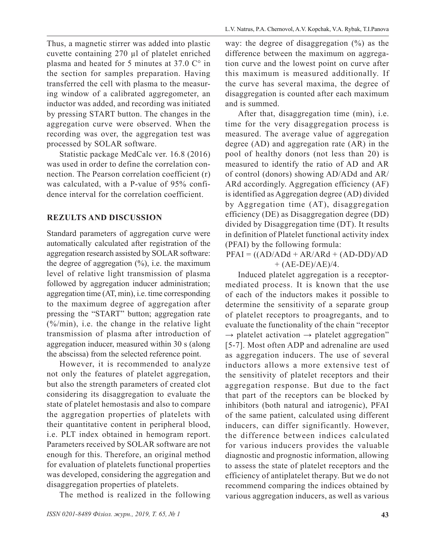Thus, a magnetic stirrer was added into plastic cuvette containing 270 µl of platelet enriched plasma and heated for 5 minutes at 37.0  $\mathbb{C}^{\circ}$  in the section for samples preparation. Having transferred the cell with plasma to the measuring window of a calibrated aggregometer, an inductor was added, and recording was initiated by pressing START button. The changes in the aggregation curve were observed. When the recording was over, the aggregation test was processed by SOLAR software.

Statistic package MedCalc ver. 16.8 (2016) was used in order to define the correlation connection. The Pearson correlation coefficient (r) was calculated, with a P-value of 95% confidence interval for the correlation coefficient.

# **REZULTS AND DISCUSSION**

Standard parameters of aggregation curve were automatically calculated after registration of the aggregation research assisted by SOLAR software: the degree of aggregation  $(\%)$ , i.e. the maximum level of relative light transmission of plasma followed by aggregation inducer administration; aggregation time (AT, min), i.e. time corresponding to the maximum degree of aggregation after pressing the "START" button; aggregation rate (%/min), i.e. the change in the relative light transmission of plasma after introduction of aggregation inducer, measured within 30 s (along the abscissa) from the selected reference point.

However, it is recommended to analyze not only the features of platelet aggregation, but also the strength parameters of created clot considering its disaggregation to evaluate the state of platelet hemostasis and also to compare the aggregation properties of platelets with their quantitative content in peripheral blood, i.e. PLT index obtained in hemogram report. Parameters received by SOLAR software are not enough for this. Therefore, an original method for evaluation of platelets functional properties was developed, considering the aggregation and disaggregation properties of platelets.

The method is realized in the following

way: the degree of disaggregation  $(\%)$  as the difference between the maximum on aggregation curve and the lowest point on curve after this maximum is measured additionally. If the curve has several maxima, the degree of disaggregation is counted after each maximum and is summed.

After that, disaggregation time (min), i.e. time for the very disaggregation process is measured. The average value of aggregation degree (AD) and aggregation rate (AR) in the pool of healthy donors (not less than 20) is measured to identify the ratio of AD and AR of control (donors) showing AD/ADd and AR/ ARd accordingly. Aggregation efficiency (AF) is identified as Aggregation degree (AD) divided by Aggregation time (AT), disaggregation efficiency (DE) as Disaggregation degree (DD) divided by Disaggregation time (DT). It results in definition of Platelet functional activity index (PFAI) by the following formula:

 $PFAI = ((AD/ADd + AR/ARd + (AD-DD)/AD$  $+ (AE-DE)/AE)/4.$ 

Induced platelet aggregation is a receptormediated process. It is known that the use of each of the inductors makes it possible to determine the sensitivity of a separate group of platelet receptors to proagregants, and to evaluate the functionality of the chain "receptor  $\rightarrow$  platelet activation  $\rightarrow$  platelet aggregation" [5-7]. Most often ADP and adrenaline are used as aggregation inducers. The use of several inductors allows a more extensive test of the sensitivity of platelet receptors and their aggregation response. But due to the fact that part of the receptors can be blocked by inhibitors (both natural and iatrogenic), PFAI of the same patient, calculated using different inducers, can differ significantly. However, the difference between indices calculated for various inducers provides the valuable diagnostic and prognostic information, allowing to assess the state of platelet receptors and the efficiency of antiplatelet therapy. But we do not recommend comparing the indices obtained by various aggregation inducers, as well as various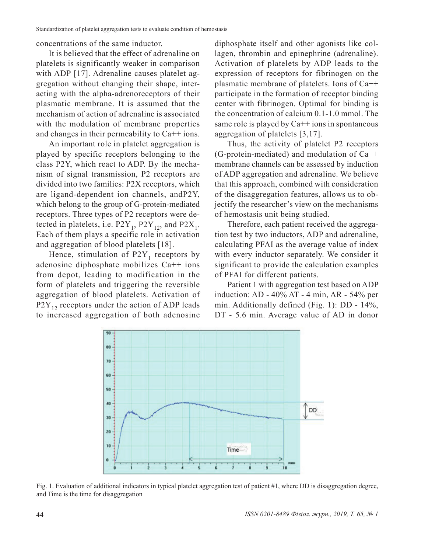concentrations of the same inductor.

It is believed that the effect of adrenaline on platelets is significantly weaker in comparison with ADP [17]. Adrenaline causes platelet aggregation without changing their shape, interacting with the alpha-adrenoreceptors of their plasmatic membrane. It is assumed that the mechanism of action of adrenaline is associated with the modulation of membrane properties and changes in their permeability to  $Ca^{++}$  ions.

An important role in platelet aggregation is played by specific receptors belonging to the class P2Y, which react to ADP. By the mechanism of signal transmission, P2 receptors are divided into two families: P2X receptors, which are ligand-dependent ion channels, andP2Y, which belong to the group of G-protein-mediated receptors. Three types of P2 receptors were detected in platelets, i.e.  $P2Y_1$ ,  $P2Y_{12}$ , and  $P2X_1$ . Each of them plays a specific role in activation and aggregation of blood platelets [18].

Hence, stimulation of  $P2Y_1$  receptors by adenosine diphosphate mobilizes Ca++ ions from depot, leading to modification in the form of platelets and triggering the reversible aggregation of blood platelets. Activation of  $P2Y_{12}$  receptors under the action of ADP leads to increased aggregation of both adenosine

diphosphate itself and other agonists like collagen, thrombin and epinephrine (adrenaline). Activation of platelets by ADP leads to the expression of receptors for fibrinogen on the plasmatic membrane of platelets. Ions of Ca++ participate in the formation of receptor binding center with fibrinogen. Optimal for binding is the concentration of calcium 0.1-1.0 mmol. The same role is played by  $Ca^{++}$  ions in spontaneous aggregation of platelets [3,17].

Thus, the activity of platelet P2 receptors (G-protein-mediated) and modulation of  $Ca++$ membrane channels can be assessed by induction of ADP aggregation and adrenaline. We believe that this approach, combined with consideration of the disaggregation features, allows us to objectify the researcher's view on the mechanisms of hemostasis unit being studied.

Therefore, each patient received the aggregation test by two inductors, ADP and adrenaline, calculating PFAI as the average value of index with every inductor separately. We consider it significant to provide the calculation examples of PFAI for different patients.

Patient 1 with aggregation test based on ADP induction: AD - 40% AT - 4 min, AR - 54% per min. Additionally defined (Fig. 1): DD - 14%, DT - 5.6 min. Average value of AD in donor



Fig. 1. Evaluation of additional indicators in typical platelet aggregation test of patient #1, where DD is disaggregation degree, and Time is the time for disaggregation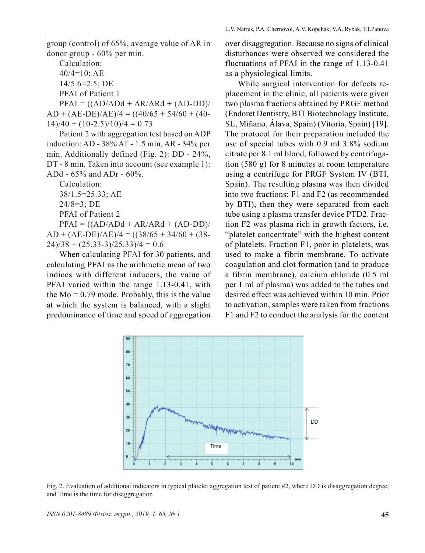group (control) of 65%, average value of AR in donor group - 60% per min.

Calculation: 40/4=10; AE 14/5.6=2.5; DE PFAI of Patient 1

 $PFAI = ((AD/ADd + AR/ARd + (AD-DD))/$  $AD + (AE-DE)/AE)/4 = ((40/65 + 54/60 + (40 14$ )/40 + (10-2.5)/10)/4 = 0.73

Patient 2 with aggregation test based on ADP induction: AD - 38% AT - 1.5 min, AR - 34% per min. Additionally defined (Fig. 2): DD - 24%, DT - 8 min. Taken into account (see example 1): ADd - 65% and ADr - 60%.

Calculation:

38/1.5=25.33; AE

24/8=3; DE

PFAI of Patient 2

 $PFAI = ((AD/ADd + AR/ARd + (AD-DD))/$  $AD + (AE-DE)/AE)/4 = ((38/65 + 34/60 + (38 (24)/38 + (25.33-3)/25.33)/4 = 0.6$ 

When calculating PFAI for 30 patients, and calculating PFAI as the arithmetic mean of two indices with different inducers, the value of PFAI varied within the range 1.13-0.41, with the  $Mo = 0.79$  mode. Probably, this is the value at which the system is balanced, with a slight predominance of time and speed of aggregation over disaggregation. Because no signs of clinical disturbances were observed we considered the fluctuations of PFAI in the range of 1.13-0.41 as a physiological limits.

While surgical intervention for defects replacement in the clinic, all patients were given two plasma fractions obtained by PRGF method (Endoret Dentistry, BTI Biotechnology Institute, SL, Miñano, Álava, Spain) (Vitoria, Spain) [19]. The protocol for their preparation included the use of special tubes with 0.9 ml 3.8% sodium citrate per 8.1 ml blood, followed by centrifugation (580 g) for 8 minutes at room temperature using a centrifuge for PRGF System IV (BTI, Spain). The resulting plasma was then divided into two fractions: F1 and F2 (as recommended by BTI), then they were separated from each tube using a plasma transfer device PTD2. Fraction F2 was plasma rich in growth factors, i.e. "platelet concentrate" with the highest content of platelets. Fraction F1, poor in platelets, was used to make a fibrin membrane. To activate coagulation and clot formation (and to produce a fibrin membrane), calcium chloride (0.5 ml per 1 ml of plasma) was added to the tubes and desired effect was achieved within 10 min. Prior to activation, samples were taken from fractions F1 and F2 to conduct the analysis for the content



Fig. 2. Evaluation of additional indicators in typical platelet aggregation test of patient #2, where DD is disaggregation degree, and Time is the time for disaggregation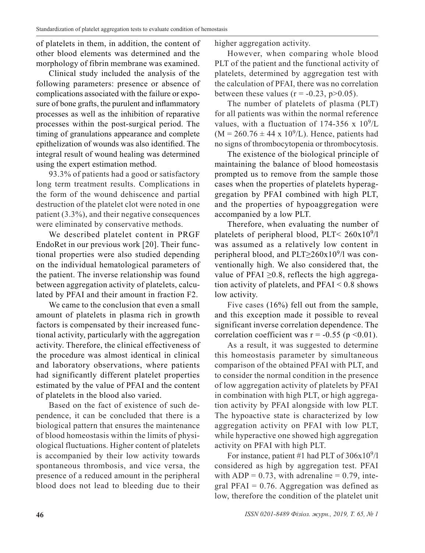of platelets in them, in addition, the content of other blood elements was determined and the morphology of fibrin membrane was examined.

Clinical study included the analysis of the following parameters: presence or absence of complications associated with the failure or exposure of bone grafts, the purulent and inflammatory processes as well as the inhibition of reparative processes within the post-surgical period. The timing of granulations appearance and complete epithelization of wounds was also identified. The integral result of wound healing was determined using the expert estimation method.

93.3% of patients had a good or satisfactory long term treatment results. Complications in the form of the wound dehiscence and partial destruction of the platelet clot were noted in one patient (3.3%), and their negative consequences were eliminated by conservative methods.

We described platelet content in PRGF EndoRet in our previous work [20]. Their functional properties were also studied depending on the individual hematological parameters of the patient. The inverse relationship was found between aggregation activity of platelets, calculated by PFAI and their amount in fraction F2.

We came to the conclusion that even a small amount of platelets in plasma rich in growth factors is compensated by their increased functional activity, particularly with the aggregation activity. Therefore, the clinical effectiveness of the procedure was almost identical in clinical and laboratory observations, where patients had significantly different platelet properties estimated by the value of PFAI and the content of platelets in the blood also varied.

Based on the fact of existence of such dependence, it can be concluded that there is a biological pattern that ensures the maintenance of blood homeostasis within the limits of physiological fluctuations. Higher content of platelets is accompanied by their low activity towards spontaneous thrombosis, and vice versa, the presence of a reduced amount in the peripheral blood does not lead to bleeding due to their higher aggregation activity.

However, when comparing whole blood PLT of the patient and the functional activity of platelets, determined by aggregation test with the calculation of PFAI, there was no correlation between these values ( $r = -0.23$ ,  $p > 0.05$ ).

The number of platelets of plasma (PLT) for all patients was within the normal reference values, with a fluctuation of 174-356 x  $10^9$ /L  $(M = 260.76 \pm 44 \times 10^{9}$ /L). Hence, patients had no signs of thrombocytopenia or thrombocytosis.

The existence of the biological principle of maintaining the balance of blood homeostasis prompted us to remove from the sample those cases when the properties of platelets hyperaggregation by PFAI combined with high PLT, and the properties of hypoaggregation were accompanied by a low PLT.

Therefore, when evaluating the number of platelets of peripheral blood,  $PLT < 260x10^9/l$ was assumed as a relatively low content in peripheral blood, and PLT $\geq$ 260x10<sup>9</sup>/l was conventionally high. We also considered that, the value of PFAI  $\geq$ 0.8, reflects the high aggregation activity of platelets, and  $PFAI < 0.8$  shows low activity.

Five cases (16%) fell out from the sample, and this exception made it possible to reveal significant inverse correlation dependence. The correlation coefficient was  $r = -0.55$  (p < 0.01).

As a result, it was suggested to determine this homeostasis parameter by simultaneous comparison of the obtained PFAI with PLT, and to consider the normal condition in the presence of low aggregation activity of platelets by PFAI in combination with high PLT, or high aggregation activity by PFAI alongside with low PLT. The hypoactive state is characterized by low aggregation activity on PFAI with low PLT, while hyperactive one showed high aggregation activity on PFAI with high PLT.

For instance, patient #1 had PLT of  $306x10^{9}/l$ considered as high by aggregation test. PFAI with  $ADP = 0.73$ , with adrenaline = 0.79, integral  $PFAI = 0.76$ . Aggregation was defined as low, therefore the condition of the platelet unit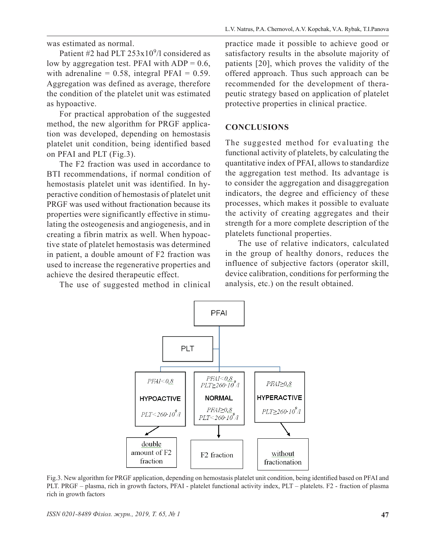was estimated as normal.

Patient #2 had PLT  $253x10^{9}/l$  considered as low by aggregation test. PFAI with  $ADP = 0.6$ , with adrenaline =  $0.58$ , integral PFAI =  $0.59$ . Aggregation was defined as average, therefore the condition of the platelet unit was estimated as hypoactive.

For practical approbation of the suggested method, the new algorithm for PRGF application was developed, depending on hemostasis platelet unit condition, being identified based on PFAI and PLT (Fig.3).

The F2 fraction was used in accordance to BTI recommendations, if normal condition of hemostasis platelet unit was identified. In hyperactive condition of hemostasis of platelet unit PRGF was used without fractionation because its properties were significantly effective in stimulating the osteogenesis and angiogenesis, and in creating a fibrin matrix as well. When hypoactive state of platelet hemostasis was determined in patient, a double amount of F2 fraction was used to increase the regenerative properties and achieve the desired therapeutic effect.

The use of suggested method in clinical

practice made it possible to achieve good or satisfactory results in the absolute majority of patients [20], which proves the validity of the offered approach. Thus such approach can be recommended for the development of therapeutic strategy based on application of platelet protective properties in clinical practice.

#### **CONCLUSIONS**

The suggested method for evaluating the functional activity of platelets, by calculating the quantitative index of PFAI, allows to standardize the aggregation test method. Its advantage is to consider the aggregation and disaggregation indicators, the degree and efficiency of these processes, which makes it possible to evaluate the activity of creating aggregates and their strength for a more complete description of the platelets functional properties.

The use of relative indicators, calculated in the group of healthy donors, reduces the influence of subjective factors (operator skill, device calibration, conditions for performing the analysis, etc.) on the result obtained.



Fig.3. New algorithm for PRGF application, depending on hemostasis platelet unit condition, being identified based on PFAI and PLT. PRGF – plasma, rich in growth factors, PFAI - platelet functional activity index, PLT – platelets. F2 - fraction of plasma rich in growth factors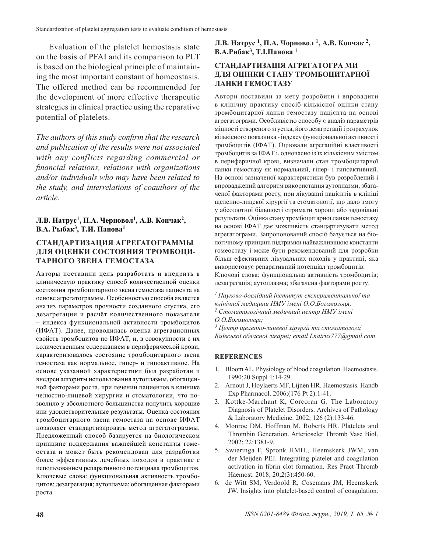Evaluation of the platelet hemostasis state on the basis of PFAI and its comparison to PLT is based on the biological principle of maintaining the most important constant of homeostasis. The offered method can be recommended for the development of more effective therapeutic strategies in clinical practice using the reparative potential of platelets.

*The authors of this study confirm that the research and publication of the results were not associated with any conflicts regarding commercial or financial relations, relations with organizations and/or individuals who may have been related to the study, and interrelations of coauthors of the article.*

### **Л.В. Натрус<sup>1</sup>, П.А. Черновол<sup>1</sup>, А.В. Копчак<sup>2</sup>, В.А. Рыбак<sup>3</sup>, Т.И. Панова<sup>1</sup>**

# **СТАНДАРТИЗАЦИЯ АГРЕГАТОГРАММЫ ДЛЯ ОЦЕНКИ СОСТОЯНИЯ ТРОМБОЦИ-ТАРНОГО ЗВЕНА ГЕМОСТАЗА**

Авторы поставили цель разработать и внедрить в клиническую практику способ количественной оценки состояния тромбоцитарного звена гемостаза пациента на основе агрегатограммы. Особенностью способа является анализ параметров прочности созданного сгустка, его дезагрегации и расчёт количественного показателя – индекса функциональной активности тромбоцитов (ИФАТ). Далее, проводилась оценка агрегационных свойств тромбоцитов по ИФАТ, и, в совокупности с их количественным содержанием в периферической крови, характеризовалось состояние тромбоцитарного звена гемостаза как нормальное, гипер- и гипоактивное. На основе указанной характеристики был разработан и внедрен алгоритм использования аутоплазмы, обогащенной факторами роста, при лечении пациентов в клинике челюстно-лицевой хирургии и стоматологии, что позволило у абсолютного большинства получить хорошие или удовлетворительные результаты. Оценка состояния тромбоцитарного звена гемостаза на основе ИФАТ позволяет стандартизировать метод агрегатограммы. Предложенный способ базируется на биологическом принципе поддержания важнейшей константы гомеостаза и может быть рекомендован для разработки более эффективных лечебных походов в практике с использованием репаративного потенциала тромбоцитов. Ключевые слова: функциональная активность тромбоцитов; дезагрегация; аутоплазма; обогащенная факторами роста.

**Л.В. Натрус <sup>1</sup>, П.А. Чорновол <sup>1</sup>, А.В. Копчак <sup>2</sup>, В.А.Рибак<sup>3</sup>, Т.І.Панова <sup>1</sup>**

# **СТАНДАРТИЗАЦІЯ АГРЕГАТОГРА МИ ДЛЯ ОЦІНКИ СТАНУ ТРОМБОЦИТАРНОЇ ЛАНКИ ГЕМОСТАЗУ**

Автори поставили за мету розробити і впровадити в клінічну практику спосіб кількісної оцінки стану тромбоцитарної ланки гемостазу пацієнта на основі агрегатограми. Особливістю способу є аналіз параметрів міцності створеного згустка, його дезагрегації і розрахунок кількісного показника - індексу функціональної активності тромбоцитів (ІФАТ). Оціювали агрегаційні властивості тромбоцитів за ІФАТ і, одночасно із їх кількісним змістом в периферичної крові, визначали стан тромбоцитарної ланки гемостазу як нормальний, гіпер- і гипоактивний. На основі зазначеної характеристики був розроблений і впроваджений алгоритм використання аутоплазми, збагаченої факторами росту, при лікуванні пацієнтів в клініці щелепно-лицевої хірургії та стоматології, що дало змогу у абсолютної більшості отримати хороші або задовільні результати. Оцінка стану тромбоцитарної ланки гемостазу на основі ІФАТ дає можливість стандартизувати метод агрегатограми. Запропонований спосіб базується на біологічному принципі підтримки найважливішою константи гомеостазу і може бути рекомендований для розробки більш ефективних лікувальних походів у практиці, яка використовує репаративний потенціал тромбоцитів. Ключові слова: функціональна активність тромбоцитів; дезагрегація; аутоплазма; збагачена факторами росту.

*1 Науково-дослідний інститут експериментальної та клінічної медицини НМУ імені О.О.Богомольця;*

*2 Стоматологічний медичний центр НМУ імені О.О.Богомольця;*

*3 Центр щелепно-лицевої хірургії та стоматології Київської обласної лікарні; email Lnatrus777@gmail.com* 

# **REFERENCES**

- 1. Bloom AL. Physiology of blood coagulation. Haemostasis. 1990;20 Suppl 1:14-29.
- 2. Arnout J, Hoylaerts MF, Lijnen HR. Haemostasis. Handb Exp Pharmacol. 2006;(176 Pt 2):1-41.
- 3. Kottke-Marchant K, Corcoran G. The Laboratory Diagnosis of Platelet Disorders. Archives of Pathology & Laboratory Medicine. 2002; 126 (2):133-46.
- 4. Monroe DM, Hoffman M, Roberts HR. Platelets and Thrombin Generation. Arterioscler Thromb Vasc Biol. 2002; 22:1381-9.
- 5. Swieringa F, Spronk HMH., Heemskerk JWM, van der Meijden PEJ. Integrating platelet and coagulation activation in fibrin clot formation. Res Pract Thromb Haemost. 2018; 20;2(3):450-60.
- 6. de Witt SM, Verdoold R, Cosemans JM, Heemskerk JW. Insights into platelet-based control of coagulation.